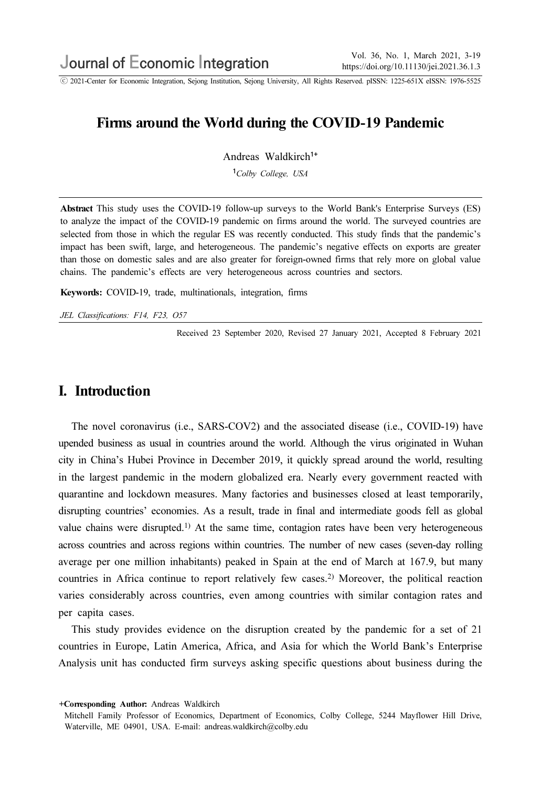ⓒ 2021-Center for Economic Integration, Sejong Institution, Sejong University, All Rights Reserved. pISSN: 1225-651X eISSN: 1976-5525

# Firms around the World during the COVID-19 Pandemic

Andreas Waldkirch<sup>1+</sup>

<sup>1</sup>Colby College, USA

Abstract This study uses the COVID-19 follow-up surveys to the World Bank's Enterprise Surveys (ES) to analyze the impact of the COVID-19 pandemic on firms around the world. The surveyed countries are selected from those in which the regular ES was recently conducted. This study finds that the pandemic's impact has been swift, large, and heterogeneous. The pandemic's negative effects on exports are greater than those on domestic sales and are also greater for foreign-owned firms that rely more on global value chains. The pandemic's effects are very heterogeneous across countries and sectors.

Keywords: COVID-19, trade, multinationals, integration, firms

JEL Classifications: F14, F23, O57

Received 23 September 2020, Revised 27 January 2021, Accepted 8 February 2021

#### I. Introduction

The novel coronavirus (i.e., SARS-COV2) and the associated disease (i.e., COVID-19) have upended business as usual in countries around the world. Although the virus originated in Wuhan city in China's Hubei Province in December 2019, it quickly spread around the world, resulting in the largest pandemic in the modern globalized era. Nearly every government reacted with quarantine and lockdown measures. Many factories and businesses closed at least temporarily, disrupting countries' economies. As a result, trade in final and intermediate goods fell as global value chains were disrupted.<sup>1)</sup> At the same time, contagion rates have been very heterogeneous across countries and across regions within countries. The number of new cases (seven-day rolling average per one million inhabitants) peaked in Spain at the end of March at 167.9, but many countries in Africa continue to report relatively few cases.2) Moreover, the political reaction varies considerably across countries, even among countries with similar contagion rates and per capita cases.

This study provides evidence on the disruption created by the pandemic for a set of 21 countries in Europe, Latin America, Africa, and Asia for which the World Bank's Enterprise Analysis unit has conducted firm surveys asking specific questions about business during the

<sup>+</sup>Corresponding Author: Andreas Waldkirch

Mitchell Family Professor of Economics, Department of Economics, Colby College, 5244 Mayflower Hill Drive, Waterville, ME 04901, USA. E-mail: andreas.waldkirch@colby.edu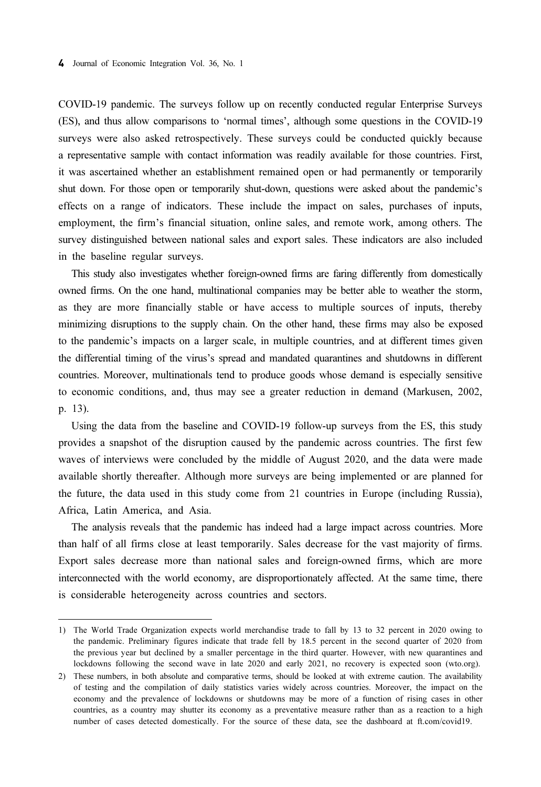COVID-19 pandemic. The surveys follow up on recently conducted regular Enterprise Surveys (ES), and thus allow comparisons to 'normal times', although some questions in the COVID-19 surveys were also asked retrospectively. These surveys could be conducted quickly because a representative sample with contact information was readily available for those countries. First, it was ascertained whether an establishment remained open or had permanently or temporarily shut down. For those open or temporarily shut-down, questions were asked about the pandemic's effects on a range of indicators. These include the impact on sales, purchases of inputs, employment, the firm's financial situation, online sales, and remote work, among others. The survey distinguished between national sales and export sales. These indicators are also included in the baseline regular surveys.

This study also investigates whether foreign-owned firms are faring differently from domestically owned firms. On the one hand, multinational companies may be better able to weather the storm, as they are more financially stable or have access to multiple sources of inputs, thereby minimizing disruptions to the supply chain. On the other hand, these firms may also be exposed to the pandemic's impacts on a larger scale, in multiple countries, and at different times given the differential timing of the virus's spread and mandated quarantines and shutdowns in different countries. Moreover, multinationals tend to produce goods whose demand is especially sensitive to economic conditions, and, thus may see a greater reduction in demand (Markusen, 2002, p. 13).

Using the data from the baseline and COVID-19 follow-up surveys from the ES, this study provides a snapshot of the disruption caused by the pandemic across countries. The first few waves of interviews were concluded by the middle of August 2020, and the data were made available shortly thereafter. Although more surveys are being implemented or are planned for the future, the data used in this study come from 21 countries in Europe (including Russia), Africa, Latin America, and Asia.

The analysis reveals that the pandemic has indeed had a large impact across countries. More than half of all firms close at least temporarily. Sales decrease for the vast majority of firms. Export sales decrease more than national sales and foreign-owned firms, which are more interconnected with the world economy, are disproportionately affected. At the same time, there is considerable heterogeneity across countries and sectors.

<sup>1)</sup> The World Trade Organization expects world merchandise trade to fall by 13 to 32 percent in 2020 owing to the pandemic. Preliminary figures indicate that trade fell by 18.5 percent in the second quarter of 2020 from the previous year but declined by a smaller percentage in the third quarter. However, with new quarantines and lockdowns following the second wave in late 2020 and early 2021, no recovery is expected soon (wto.org).

<sup>2)</sup> These numbers, in both absolute and comparative terms, should be looked at with extreme caution. The availability of testing and the compilation of daily statistics varies widely across countries. Moreover, the impact on the economy and the prevalence of lockdowns or shutdowns may be more of a function of rising cases in other countries, as a country may shutter its economy as a preventative measure rather than as a reaction to a high number of cases detected domestically. For the source of these data, see the dashboard at ft.com/covid19.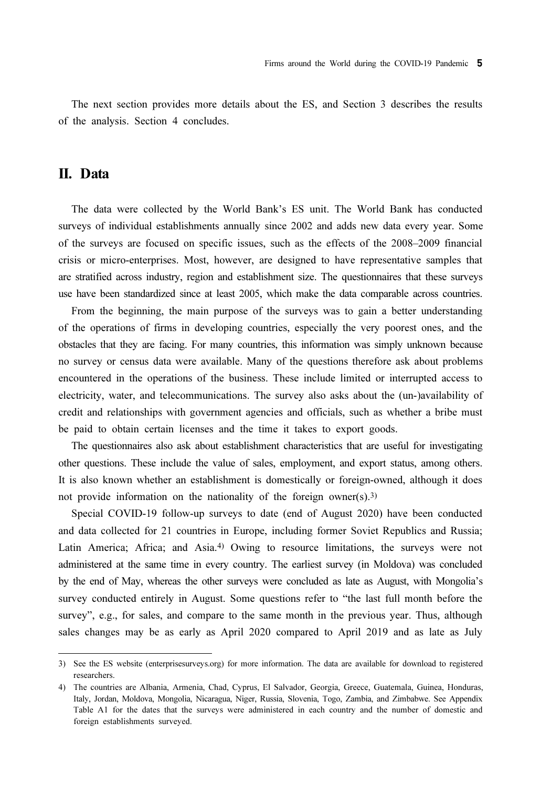The next section provides more details about the ES, and Section 3 describes the results of the analysis. Section 4 concludes.

### II. Data

The data were collected by the World Bank's ES unit. The World Bank has conducted surveys of individual establishments annually since 2002 and adds new data every year. Some of the surveys are focused on specific issues, such as the effects of the 2008–2009 financial crisis or micro-enterprises. Most, however, are designed to have representative samples that are stratified across industry, region and establishment size. The questionnaires that these surveys use have been standardized since at least 2005, which make the data comparable across countries.

From the beginning, the main purpose of the surveys was to gain a better understanding of the operations of firms in developing countries, especially the very poorest ones, and the obstacles that they are facing. For many countries, this information was simply unknown because no survey or census data were available. Many of the questions therefore ask about problems encountered in the operations of the business. These include limited or interrupted access to electricity, water, and telecommunications. The survey also asks about the (un-)availability of credit and relationships with government agencies and officials, such as whether a bribe must be paid to obtain certain licenses and the time it takes to export goods.

The questionnaires also ask about establishment characteristics that are useful for investigating other questions. These include the value of sales, employment, and export status, among others. It is also known whether an establishment is domestically or foreign-owned, although it does not provide information on the nationality of the foreign owner(s).3)

Special COVID-19 follow-up surveys to date (end of August 2020) have been conducted and data collected for 21 countries in Europe, including former Soviet Republics and Russia; Latin America; Africa; and Asia.<sup>4)</sup> Owing to resource limitations, the surveys were not administered at the same time in every country. The earliest survey (in Moldova) was concluded by the end of May, whereas the other surveys were concluded as late as August, with Mongolia's survey conducted entirely in August. Some questions refer to "the last full month before the survey", e.g., for sales, and compare to the same month in the previous year. Thus, although sales changes may be as early as April 2020 compared to April 2019 and as late as July

<sup>3)</sup> See the ES website (enterprisesurveys.org) for more information. The data are available for download to registered researchers.

<sup>4)</sup> The countries are Albania, Armenia, Chad, Cyprus, El Salvador, Georgia, Greece, Guatemala, Guinea, Honduras, Italy, Jordan, Moldova, Mongolia, Nicaragua, Niger, Russia, Slovenia, Togo, Zambia, and Zimbabwe. See Appendix Table A1 for the dates that the surveys were administered in each country and the number of domestic and foreign establishments surveyed.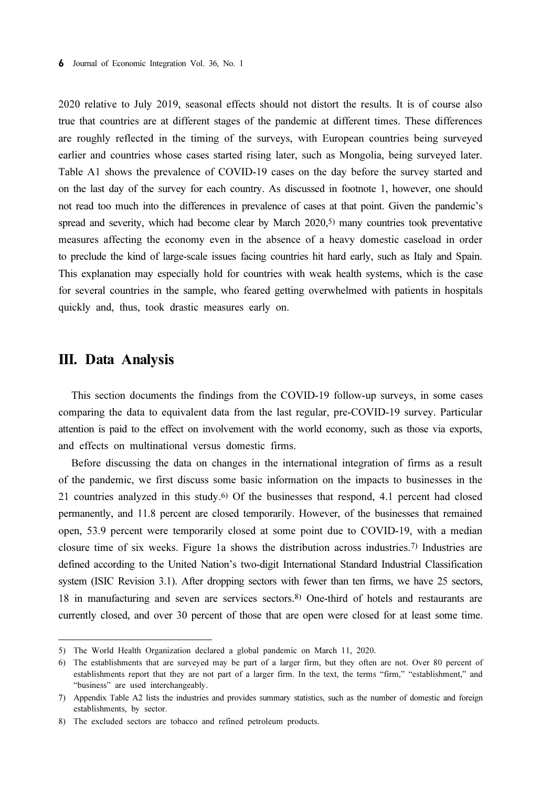2020 relative to July 2019, seasonal effects should not distort the results. It is of course also true that countries are at different stages of the pandemic at different times. These differences are roughly reflected in the timing of the surveys, with European countries being surveyed earlier and countries whose cases started rising later, such as Mongolia, being surveyed later. Table A1 shows the prevalence of COVID-19 cases on the day before the survey started and on the last day of the survey for each country. As discussed in footnote 1, however, one should not read too much into the differences in prevalence of cases at that point. Given the pandemic's spread and severity, which had become clear by March  $2020$ ,<sup>5)</sup> many countries took preventative measures affecting the economy even in the absence of a heavy domestic caseload in order to preclude the kind of large-scale issues facing countries hit hard early, such as Italy and Spain. This explanation may especially hold for countries with weak health systems, which is the case for several countries in the sample, who feared getting overwhelmed with patients in hospitals quickly and, thus, took drastic measures early on.

#### III. Data Analysis

This section documents the findings from the COVID-19 follow-up surveys, in some cases comparing the data to equivalent data from the last regular, pre-COVID-19 survey. Particular attention is paid to the effect on involvement with the world economy, such as those via exports, and effects on multinational versus domestic firms.

Before discussing the data on changes in the international integration of firms as a result of the pandemic, we first discuss some basic information on the impacts to businesses in the 21 countries analyzed in this study.6) Of the businesses that respond, 4.1 percent had closed permanently, and 11.8 percent are closed temporarily. However, of the businesses that remained open, 53.9 percent were temporarily closed at some point due to COVID-19, with a median closure time of six weeks. Figure 1a shows the distribution across industries.7) Industries are defined according to the United Nation's two-digit International Standard Industrial Classification system (ISIC Revision 3.1). After dropping sectors with fewer than ten firms, we have 25 sectors, 18 in manufacturing and seven are services sectors.8) One-third of hotels and restaurants are currently closed, and over 30 percent of those that are open were closed for at least some time.

<sup>5)</sup> The World Health Organization declared a global pandemic on March 11, 2020.

<sup>6)</sup> The establishments that are surveyed may be part of a larger firm, but they often are not. Over 80 percent of establishments report that they are not part of a larger firm. In the text, the terms "firm," "establishment," and "business" are used interchangeably.

<sup>7)</sup> Appendix Table A2 lists the industries and provides summary statistics, such as the number of domestic and foreign establishments, by sector.

<sup>8)</sup> The excluded sectors are tobacco and refined petroleum products.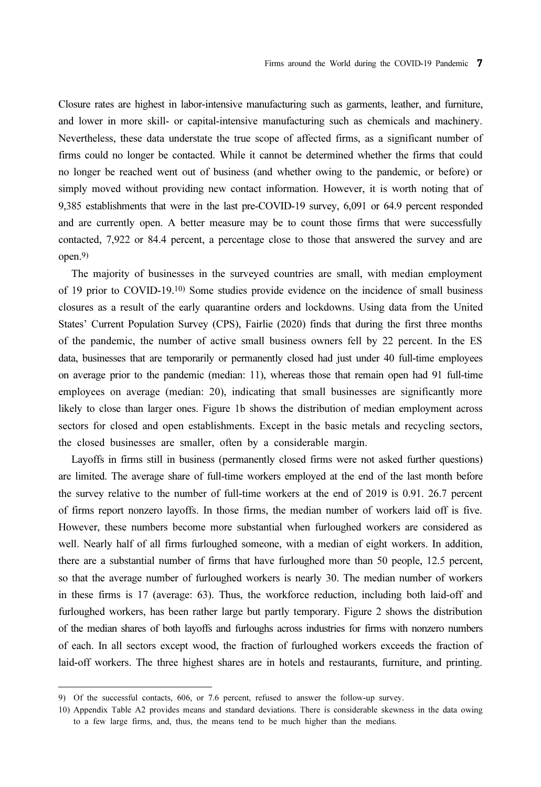Closure rates are highest in labor-intensive manufacturing such as garments, leather, and furniture, and lower in more skill- or capital-intensive manufacturing such as chemicals and machinery. Nevertheless, these data understate the true scope of affected firms, as a significant number of firms could no longer be contacted. While it cannot be determined whether the firms that could no longer be reached went out of business (and whether owing to the pandemic, or before) or simply moved without providing new contact information. However, it is worth noting that of 9,385 establishments that were in the last pre-COVID-19 survey, 6,091 or 64.9 percent responded and are currently open. A better measure may be to count those firms that were successfully contacted, 7,922 or 84.4 percent, a percentage close to those that answered the survey and are open.9)

The majority of businesses in the surveyed countries are small, with median employment of 19 prior to COVID-19.10) Some studies provide evidence on the incidence of small business closures as a result of the early quarantine orders and lockdowns. Using data from the United States' Current Population Survey (CPS), Fairlie (2020) finds that during the first three months of the pandemic, the number of active small business owners fell by 22 percent. In the ES data, businesses that are temporarily or permanently closed had just under 40 full-time employees on average prior to the pandemic (median: 11), whereas those that remain open had 91 full-time employees on average (median: 20), indicating that small businesses are significantly more likely to close than larger ones. Figure 1b shows the distribution of median employment across sectors for closed and open establishments. Except in the basic metals and recycling sectors, the closed businesses are smaller, often by a considerable margin.

Layoffs in firms still in business (permanently closed firms were not asked further questions) are limited. The average share of full-time workers employed at the end of the last month before the survey relative to the number of full-time workers at the end of 2019 is 0.91. 26.7 percent of firms report nonzero layoffs. In those firms, the median number of workers laid off is five. However, these numbers become more substantial when furloughed workers are considered as well. Nearly half of all firms furloughed someone, with a median of eight workers. In addition, there are a substantial number of firms that have furloughed more than 50 people, 12.5 percent, so that the average number of furloughed workers is nearly 30. The median number of workers in these firms is 17 (average: 63). Thus, the workforce reduction, including both laid-off and furloughed workers, has been rather large but partly temporary. Figure 2 shows the distribution of the median shares of both layoffs and furloughs across industries for firms with nonzero numbers of each. In all sectors except wood, the fraction of furloughed workers exceeds the fraction of laid-off workers. The three highest shares are in hotels and restaurants, furniture, and printing.

<sup>9)</sup> Of the successful contacts, 606, or 7.6 percent, refused to answer the follow-up survey.

<sup>10)</sup> Appendix Table A2 provides means and standard deviations. There is considerable skewness in the data owing to a few large firms, and, thus, the means tend to be much higher than the medians.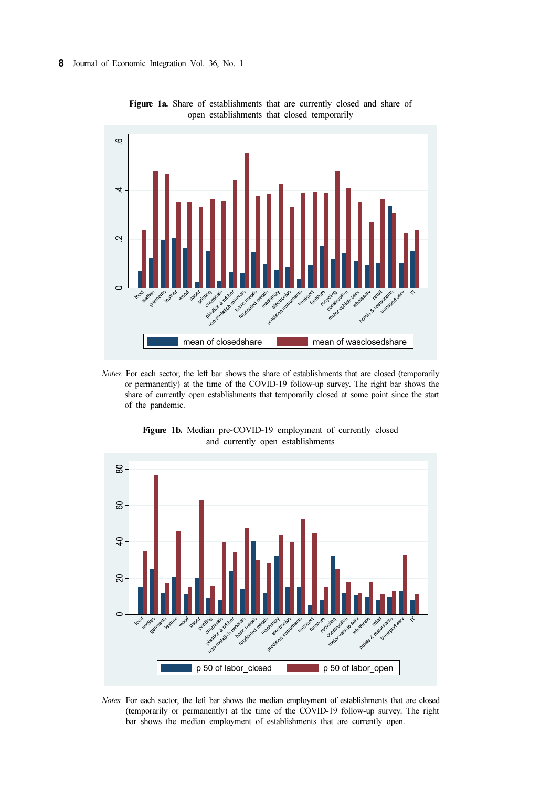

Figure 1a. Share of establishments that are currently closed and share of open establishments that closed temporarily

Notes. For each sector, the left bar shows the share of establishments that are closed (temporarily or permanently) at the time of the COVID-19 follow-up survey. The right bar shows the share of currently open establishments that temporarily closed at some point since the start of the pandemic.



Figure 1b. Median pre-COVID-19 employment of currently closed and currently open establishments

Notes. For each sector, the left bar shows the median employment of establishments that are closed (temporarily or permanently) at the time of the COVID-19 follow-up survey. The right bar shows the median employment of establishments that are currently open.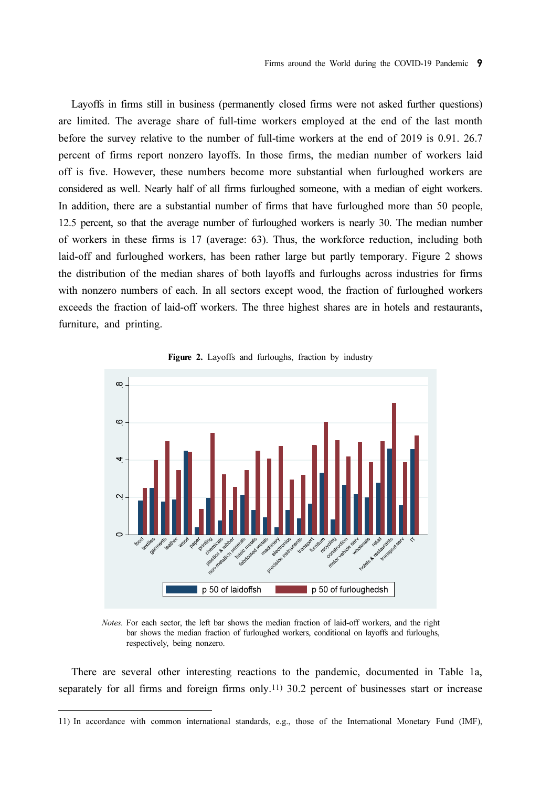Layoffs in firms still in business (permanently closed firms were not asked further questions) are limited. The average share of full-time workers employed at the end of the last month before the survey relative to the number of full-time workers at the end of 2019 is 0.91. 26.7 percent of firms report nonzero layoffs. In those firms, the median number of workers laid off is five. However, these numbers become more substantial when furloughed workers are considered as well. Nearly half of all firms furloughed someone, with a median of eight workers. In addition, there are a substantial number of firms that have furloughed more than 50 people, 12.5 percent, so that the average number of furloughed workers is nearly 30. The median number of workers in these firms is 17 (average: 63). Thus, the workforce reduction, including both laid-off and furloughed workers, has been rather large but partly temporary. Figure 2 shows the distribution of the median shares of both layoffs and furloughs across industries for firms with nonzero numbers of each. In all sectors except wood, the fraction of furloughed workers exceeds the fraction of laid-off workers. The three highest shares are in hotels and restaurants, furniture, and printing.





Notes. For each sector, the left bar shows the median fraction of laid-off workers, and the right bar shows the median fraction of furloughed workers, conditional on layoffs and furloughs, respectively, being nonzero.

There are several other interesting reactions to the pandemic, documented in Table 1a, separately for all firms and foreign firms only.<sup>11</sup>) 30.2 percent of businesses start or increase

<sup>11)</sup> In accordance with common international standards, e.g., those of the International Monetary Fund (IMF),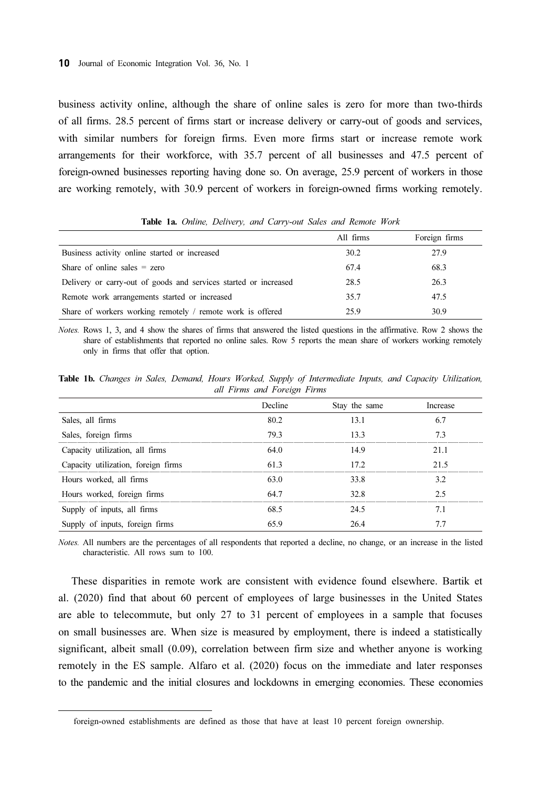business activity online, although the share of online sales is zero for more than two-thirds of all firms. 28.5 percent of firms start or increase delivery or carry-out of goods and services, with similar numbers for foreign firms. Even more firms start or increase remote work arrangements for their workforce, with 35.7 percent of all businesses and 47.5 percent of foreign-owned businesses reporting having done so. On average, 25.9 percent of workers in those are working remotely, with 30.9 percent of workers in foreign-owned firms working remotely.

|                                                                  | All firms | Foreign firms |
|------------------------------------------------------------------|-----------|---------------|
| Business activity online started or increased                    | 30.2      | 27.9          |
| Share of online sales $=$ zero                                   | 67.4      | 68.3          |
| Delivery or carry-out of goods and services started or increased | 28.5      | 26.3          |
| Remote work arrangements started or increased                    | 35.7      | 47.5          |
| Share of workers working remotely / remote work is offered       | 25.9      | 30.9          |

Table 1a. Online, Delivery, and Carry-out Sales and Remote Work

Notes. Rows 1, 3, and 4 show the shares of firms that answered the listed questions in the affirmative. Row 2 shows the share of establishments that reported no online sales. Row 5 reports the mean share of workers working remotely only in firms that offer that option.

Table 1b. Changes in Sales, Demand, Hours Worked, Supply of Intermediate Inputs, and Capacity Utilization, all Firms and Foreign Firms

|                                     | )ecline | Stay the same | crease |
|-------------------------------------|---------|---------------|--------|
| Sales, all firms                    | 80.2    | 131           |        |
| Sales, foreign firms                | 79.3    | 133           |        |
| Capacity utilization, all firms     | 64 0    | 149           | 21 1   |
| Capacity utilization, foreign firms | 61.3    | 172           | 21.5   |
| Hours worked, all firms             | 63 0    | 33 R          |        |
| Hours worked, foreign firms         | 64 7    | 32 R          |        |
| ply of inputs, all firms            | 68.5    | 24.5          | 7.1    |
| inputs, foreign firms               | 65 Q    |               |        |

Notes. All numbers are the percentages of all respondents that reported a decline, no change, or an increase in the listed characteristic. All rows sum to 100.

These disparities in remote work are consistent with evidence found elsewhere. Bartik et al. (2020) find that about 60 percent of employees of large businesses in the United States are able to telecommute, but only 27 to 31 percent of employees in a sample that focuses on small businesses are. When size is measured by employment, there is indeed a statistically significant, albeit small (0.09), correlation between firm size and whether anyone is working remotely in the ES sample. Alfaro et al. (2020) focus on the immediate and later responses to the pandemic and the initial closures and lockdowns in emerging economies. These economies

foreign-owned establishments are defined as those that have at least 10 percent foreign ownership.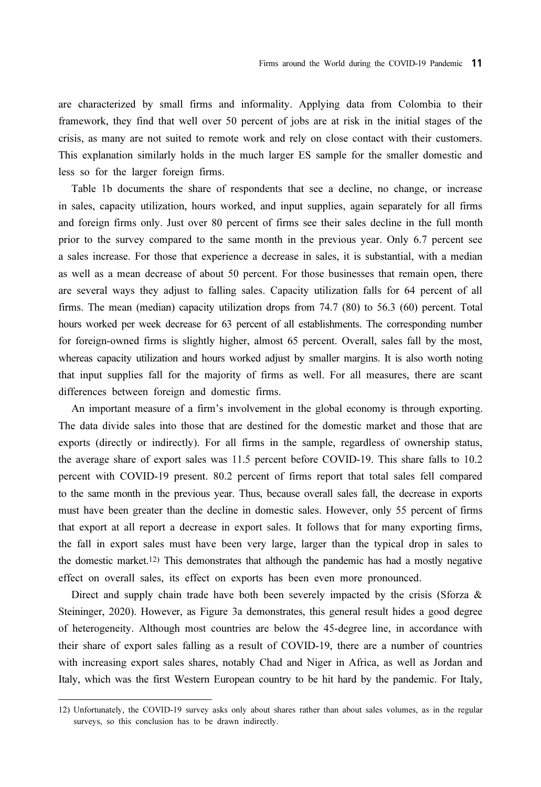are characterized by small firms and informality. Applying data from Colombia to their framework, they find that well over 50 percent of jobs are at risk in the initial stages of the crisis, as many are not suited to remote work and rely on close contact with their customers. This explanation similarly holds in the much larger ES sample for the smaller domestic and less so for the larger foreign firms.

Table 1b documents the share of respondents that see a decline, no change, or increase in sales, capacity utilization, hours worked, and input supplies, again separately for all firms and foreign firms only. Just over 80 percent of firms see their sales decline in the full month prior to the survey compared to the same month in the previous year. Only 6.7 percent see a sales increase. For those that experience a decrease in sales, it is substantial, with a median as well as a mean decrease of about 50 percent. For those businesses that remain open, there are several ways they adjust to falling sales. Capacity utilization falls for 64 percent of all firms. The mean (median) capacity utilization drops from 74.7 (80) to 56.3 (60) percent. Total hours worked per week decrease for 63 percent of all establishments. The corresponding number for foreign-owned firms is slightly higher, almost 65 percent. Overall, sales fall by the most, whereas capacity utilization and hours worked adjust by smaller margins. It is also worth noting that input supplies fall for the majority of firms as well. For all measures, there are scant differences between foreign and domestic firms.

An important measure of a firm's involvement in the global economy is through exporting. The data divide sales into those that are destined for the domestic market and those that are exports (directly or indirectly). For all firms in the sample, regardless of ownership status, the average share of export sales was 11.5 percent before COVID-19. This share falls to 10.2 percent with COVID-19 present. 80.2 percent of firms report that total sales fell compared to the same month in the previous year. Thus, because overall sales fall, the decrease in exports must have been greater than the decline in domestic sales. However, only 55 percent of firms that export at all report a decrease in export sales. It follows that for many exporting firms, the fall in export sales must have been very large, larger than the typical drop in sales to the domestic market.12) This demonstrates that although the pandemic has had a mostly negative effect on overall sales, its effect on exports has been even more pronounced.

Direct and supply chain trade have both been severely impacted by the crisis (Sforza  $\&$ Steininger, 2020). However, as Figure 3a demonstrates, this general result hides a good degree of heterogeneity. Although most countries are below the 45-degree line, in accordance with their share of export sales falling as a result of COVID-19, there are a number of countries with increasing export sales shares, notably Chad and Niger in Africa, as well as Jordan and Italy, which was the first Western European country to be hit hard by the pandemic. For Italy,

<sup>12)</sup> Unfortunately, the COVID-19 survey asks only about shares rather than about sales volumes, as in the regular surveys, so this conclusion has to be drawn indirectly.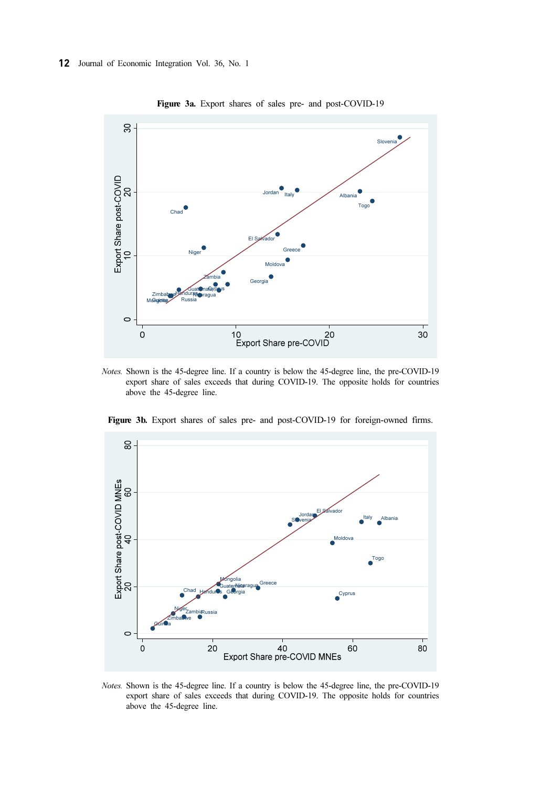

Figure 3a. Export shares of sales pre- and post-COVID-19

Notes. Shown is the 45-degree line. If a country is below the 45-degree line, the pre-COVID-19 export share of sales exceeds that during COVID-19. The opposite holds for countries above the 45-degree line.



Figure 3b. Export shares of sales pre- and post-COVID-19 for foreign-owned firms.

Notes. Shown is the 45-degree line. If a country is below the 45-degree line, the pre-COVID-19 export share of sales exceeds that during COVID-19. The opposite holds for countries above the 45-degree line.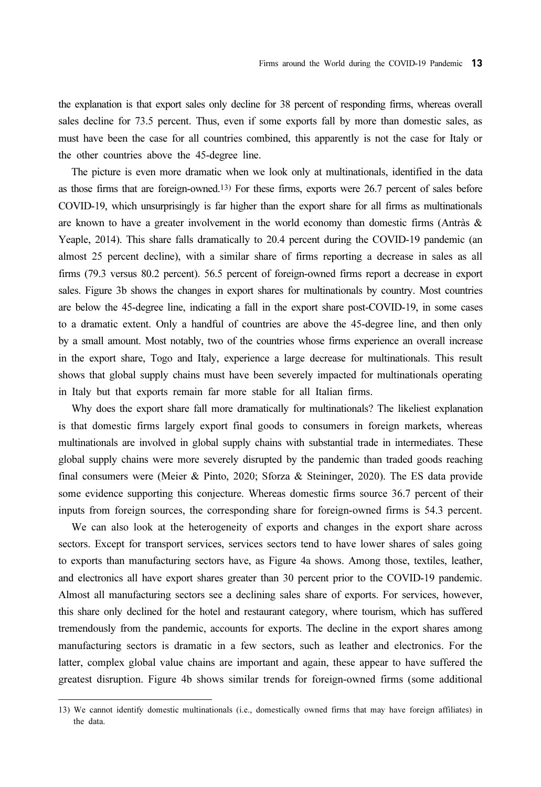the explanation is that export sales only decline for 38 percent of responding firms, whereas overall sales decline for 73.5 percent. Thus, even if some exports fall by more than domestic sales, as must have been the case for all countries combined, this apparently is not the case for Italy or the other countries above the 45-degree line.

The picture is even more dramatic when we look only at multinationals, identified in the data as those firms that are foreign-owned.13) For these firms, exports were 26.7 percent of sales before COVID-19, which unsurprisingly is far higher than the export share for all firms as multinationals are known to have a greater involvement in the world economy than domestic firms (Antràs & Yeaple, 2014). This share falls dramatically to 20.4 percent during the COVID-19 pandemic (an almost 25 percent decline), with a similar share of firms reporting a decrease in sales as all firms (79.3 versus 80.2 percent). 56.5 percent of foreign-owned firms report a decrease in export sales. Figure 3b shows the changes in export shares for multinationals by country. Most countries are below the 45-degree line, indicating a fall in the export share post-COVID-19, in some cases to a dramatic extent. Only a handful of countries are above the 45-degree line, and then only by a small amount. Most notably, two of the countries whose firms experience an overall increase in the export share, Togo and Italy, experience a large decrease for multinationals. This result shows that global supply chains must have been severely impacted for multinationals operating in Italy but that exports remain far more stable for all Italian firms.

Why does the export share fall more dramatically for multinationals? The likeliest explanation is that domestic firms largely export final goods to consumers in foreign markets, whereas multinationals are involved in global supply chains with substantial trade in intermediates. These global supply chains were more severely disrupted by the pandemic than traded goods reaching final consumers were (Meier & Pinto, 2020; Sforza & Steininger, 2020). The ES data provide some evidence supporting this conjecture. Whereas domestic firms source 36.7 percent of their inputs from foreign sources, the corresponding share for foreign-owned firms is 54.3 percent.

We can also look at the heterogeneity of exports and changes in the export share across sectors. Except for transport services, services sectors tend to have lower shares of sales going to exports than manufacturing sectors have, as Figure 4a shows. Among those, textiles, leather, and electronics all have export shares greater than 30 percent prior to the COVID-19 pandemic. Almost all manufacturing sectors see a declining sales share of exports. For services, however, this share only declined for the hotel and restaurant category, where tourism, which has suffered tremendously from the pandemic, accounts for exports. The decline in the export shares among manufacturing sectors is dramatic in a few sectors, such as leather and electronics. For the latter, complex global value chains are important and again, these appear to have suffered the greatest disruption. Figure 4b shows similar trends for foreign-owned firms (some additional

<sup>13)</sup> We cannot identify domestic multinationals (i.e., domestically owned firms that may have foreign affiliates) in the data.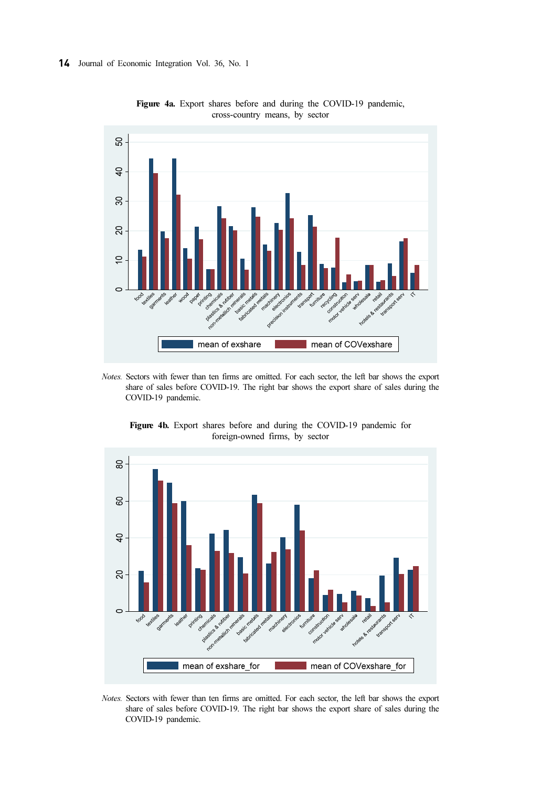

Figure 4a. Export shares before and during the COVID-19 pandemic, cross-country means, by sector

Notes. Sectors with fewer than ten firms are omitted. For each sector, the left bar shows the export share of sales before COVID-19. The right bar shows the export share of sales during the COVID-19 pandemic.



Figure 4b. Export shares before and during the COVID-19 pandemic for foreign-owned firms, by sector

Notes. Sectors with fewer than ten firms are omitted. For each sector, the left bar shows the export share of sales before COVID-19. The right bar shows the export share of sales during the COVID-19 pandemic.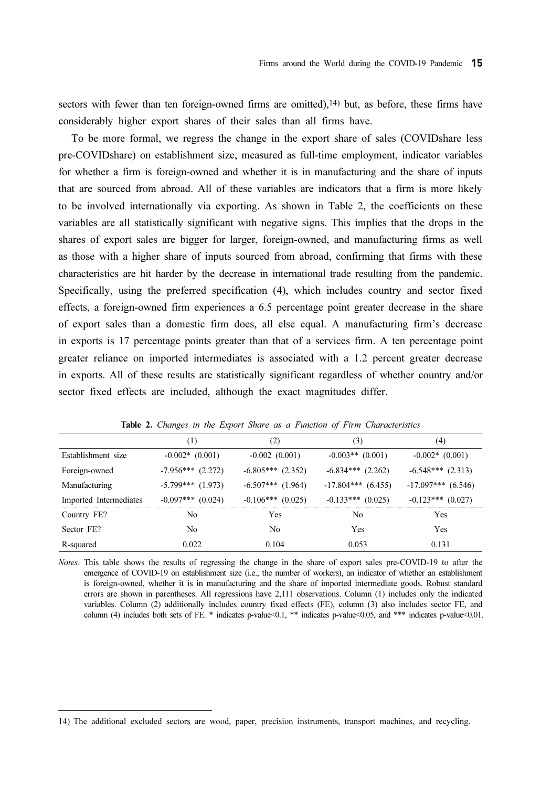sectors with fewer than ten foreign-owned firms are omitted), $14$  but, as before, these firms have considerably higher export shares of their sales than all firms have.

To be more formal, we regress the change in the export share of sales (COVIDshare less pre-COVIDshare) on establishment size, measured as full-time employment, indicator variables for whether a firm is foreign-owned and whether it is in manufacturing and the share of inputs that are sourced from abroad. All of these variables are indicators that a firm is more likely to be involved internationally via exporting. As shown in Table 2, the coefficients on these variables are all statistically significant with negative signs. This implies that the drops in the shares of export sales are bigger for larger, foreign-owned, and manufacturing firms as well as those with a higher share of inputs sourced from abroad, confirming that firms with these characteristics are hit harder by the decrease in international trade resulting from the pandemic. Specifically, using the preferred specification (4), which includes country and sector fixed effects, a foreign-owned firm experiences a 6.5 percentage point greater decrease in the share of export sales than a domestic firm does, all else equal. A manufacturing firm's decrease in exports is 17 percentage points greater than that of a services firm. A ten percentage point greater reliance on imported intermediates is associated with a 1.2 percent greater decrease in exports. All of these results are statistically significant regardless of whether country and/or sector fixed effects are included, although the exact magnitudes differ.

|                        | H                   |                     | $\left(3\right)$      | (4)                  |
|------------------------|---------------------|---------------------|-----------------------|----------------------|
| Establishment size     | $-0.002*(0.001)$    | $-0.002(0.001)$     | $-0.003**$ (0.001)    | $-0.002*(0.001)$     |
| Foreign-owned          | $-7.956***$ (2.272) | $-6.805***$ (2.352) | $-6.834***$ $(2.262)$ | $-6.548***$ (2.313)  |
| Manufacturing          | $-5.799***$ (1.973) | $-6.507***$ (1.964) | $-17.804***$ (6.455)  | $-17.097***$ (6.546) |
| Imported Intermediates | $-0.097***$ (0.024) | $-0.106***$ (0.025) | $-0.133***$ $(0.025)$ | $-0.123***$ (0.027)  |
| Country FE?            | No                  | Yes                 | No                    | Yes                  |
| Sector FE?             | No                  | No                  | Yes                   | Yes                  |
| R-squared              | 0.022               | 0.104               | 0.053                 | 0.131                |

Table 2. Changes in the Export Share as a Function of Firm Characteristics

Notes. This table shows the results of regressing the change in the share of export sales pre-COVID-19 to after the emergence of COVID-19 on establishment size (i.e., the number of workers), an indicator of whether an establishment is foreign-owned, whether it is in manufacturing and the share of imported intermediate goods. Robust standard errors are shown in parentheses. All regressions have 2,111 observations. Column (1) includes only the indicated variables. Column (2) additionally includes country fixed effects (FE), column (3) also includes sector FE, and column (4) includes both sets of FE. \* indicates p-value<0.1, \*\* indicates p-value<0.05, and \*\*\* indicates p-value<0.01.

<sup>14)</sup> The additional excluded sectors are wood, paper, precision instruments, transport machines, and recycling.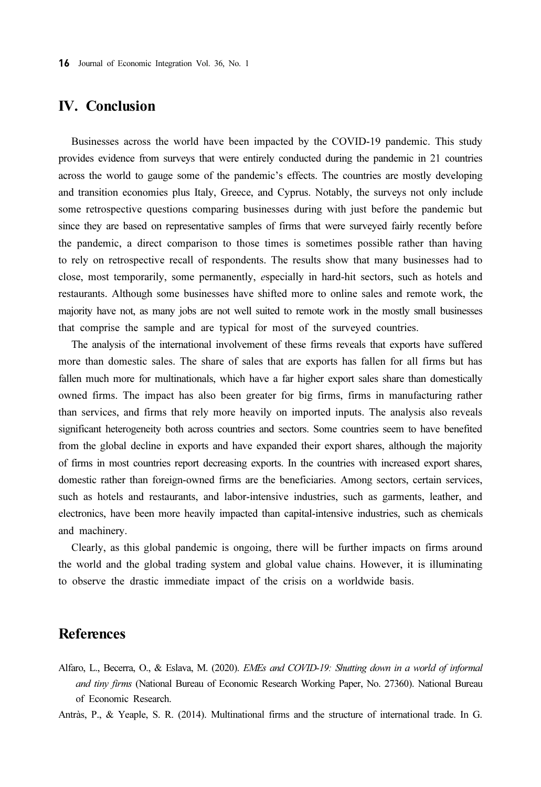16 Journal of Economic Integration Vol. 36, No. 1

## IV. Conclusion

Businesses across the world have been impacted by the COVID-19 pandemic. This study provides evidence from surveys that were entirely conducted during the pandemic in 21 countries across the world to gauge some of the pandemic's effects. The countries are mostly developing and transition economies plus Italy, Greece, and Cyprus. Notably, the surveys not only include some retrospective questions comparing businesses during with just before the pandemic but since they are based on representative samples of firms that were surveyed fairly recently before the pandemic, a direct comparison to those times is sometimes possible rather than having to rely on retrospective recall of respondents. The results show that many businesses had to close, most temporarily, some permanently, especially in hard-hit sectors, such as hotels and restaurants. Although some businesses have shifted more to online sales and remote work, the majority have not, as many jobs are not well suited to remote work in the mostly small businesses that comprise the sample and are typical for most of the surveyed countries.

The analysis of the international involvement of these firms reveals that exports have suffered more than domestic sales. The share of sales that are exports has fallen for all firms but has fallen much more for multinationals, which have a far higher export sales share than domestically owned firms. The impact has also been greater for big firms, firms in manufacturing rather than services, and firms that rely more heavily on imported inputs. The analysis also reveals significant heterogeneity both across countries and sectors. Some countries seem to have benefited from the global decline in exports and have expanded their export shares, although the majority of firms in most countries report decreasing exports. In the countries with increased export shares, domestic rather than foreign-owned firms are the beneficiaries. Among sectors, certain services, such as hotels and restaurants, and labor-intensive industries, such as garments, leather, and electronics, have been more heavily impacted than capital-intensive industries, such as chemicals and machinery.

Clearly, as this global pandemic is ongoing, there will be further impacts on firms around the world and the global trading system and global value chains. However, it is illuminating to observe the drastic immediate impact of the crisis on a worldwide basis.

## References

Alfaro, L., Becerra, O., & Eslava, M. (2020). EMEs and COVID-19: Shutting down in a world of informal and tiny firms (National Bureau of Economic Research Working Paper, No. 27360). National Bureau of Economic Research.

Antràs, P., & Yeaple, S. R. (2014). Multinational firms and the structure of international trade. In G.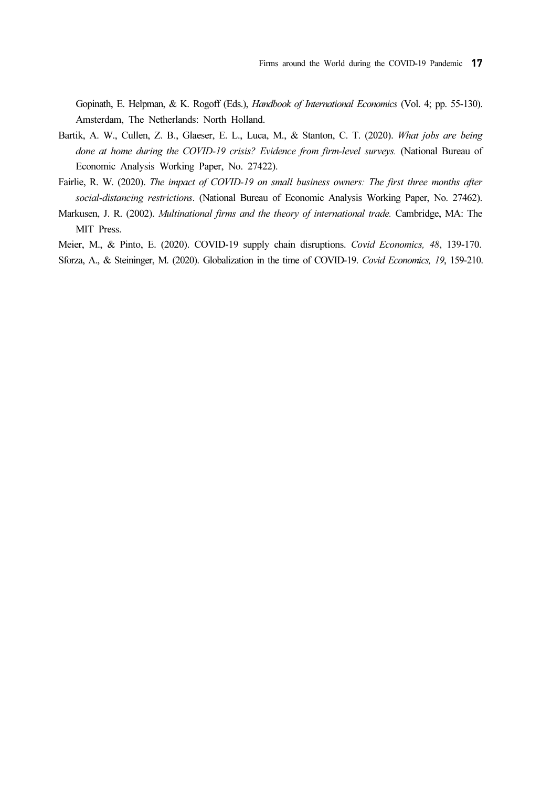Gopinath, E. Helpman, & K. Rogoff (Eds.), Handbook of International Economics (Vol. 4; pp. 55-130). Amsterdam, The Netherlands: North Holland.

- Bartik, A. W., Cullen, Z. B., Glaeser, E. L., Luca, M., & Stanton, C. T. (2020). What jobs are being done at home during the COVID-19 crisis? Evidence from firm-level surveys. (National Bureau of Economic Analysis Working Paper, No. 27422).
- Fairlie, R. W. (2020). The impact of COVID-19 on small business owners: The first three months after social-distancing restrictions. (National Bureau of Economic Analysis Working Paper, No. 27462).
- Markusen, J. R. (2002). Multinational firms and the theory of international trade. Cambridge, MA: The MIT Press.

Meier, M., & Pinto, E. (2020). COVID-19 supply chain disruptions. Covid Economics, 48, 139-170.

Sforza, A., & Steininger, M. (2020). Globalization in the time of COVID-19. Covid Economics, 19, 159-210.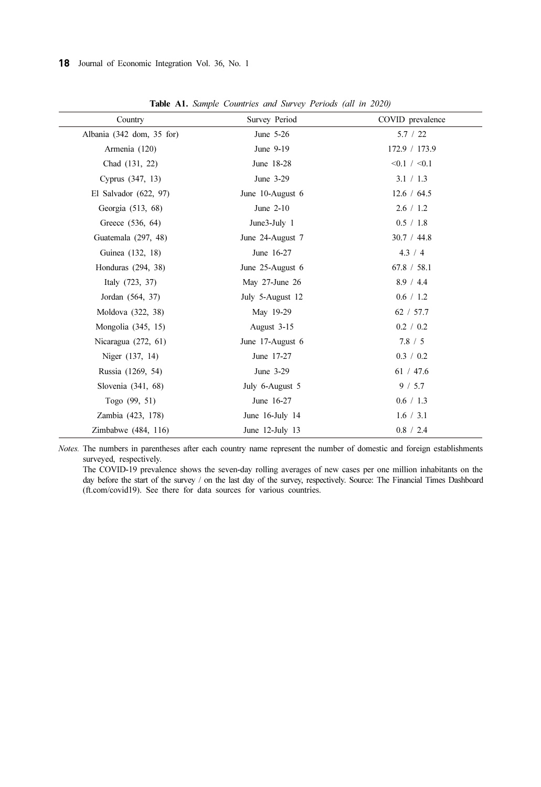| Country                   | Survey Period    | COVID prevalence |
|---------------------------|------------------|------------------|
| Albania (342 dom, 35 for) | June 5-26        | 5.7 / 22         |
| Armenia (120)             | June 9-19        | 172.9 / 173.9    |
| Chad (131, 22)            | June 18-28       | <0.1 / <0.1      |
| Cyprus (347, 13)          | June 3-29        | 3.1 / 1.3        |
| El Salvador (622, 97)     | June 10-August 6 | 12.6 / 64.5      |
| Georgia (513, 68)         | June 2-10        | 2.6 / 1.2        |
| Greece (536, 64)          | June3-July 1     | 0.5 / 1.8        |
| Guatemala (297, 48)       | June 24-August 7 | 30.7 / 44.8      |
| Guinea (132, 18)          | June 16-27       | 4.3 / 4          |
| Honduras (294, 38)        | June 25-August 6 | 67.8 / 58.1      |
| Italy (723, 37)           | May 27-June 26   | 8.9 / 4.4        |
| Jordan (564, 37)          | July 5-August 12 | 0.6 / 1.2        |
| Moldova (322, 38)         | May 19-29        | 62 / 57.7        |
| Mongolia (345, 15)        | August 3-15      | 0.2 / 0.2        |
| Nicaragua $(272, 61)$     | June 17-August 6 | 7.8 / 5          |
| Niger (137, 14)           | June 17-27       | 0.3 / 0.2        |
| Russia (1269, 54)         | June 3-29        | 61 / 47.6        |
| Slovenia (341, 68)        | July 6-August 5  | 9 / 5.7          |
| Togo $(99, 51)$           | June 16-27       | 0.6 / 1.3        |
| Zambia (423, 178)         | June 16-July 14  | 1.6 / 3.1        |
| Zimbabwe (484, 116)       | June 12-July 13  | 0.8 / 2.4        |

Table A1. Sample Countries and Survey Periods (all in 2020)

Notes. The numbers in parentheses after each country name represent the number of domestic and foreign establishments surveyed, respectively.

The COVID-19 prevalence shows the seven-day rolling averages of new cases per one million inhabitants on the day before the start of the survey / on the last day of the survey, respectively. Source: The Financial Times Dashboard (ft.com/covid19). See there for data sources for various countries.